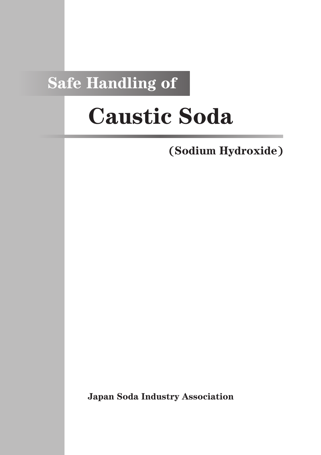## **Safe Handling of**

# **Caustic Soda**

**(Sodium Hydroxide)**

**Japan Soda Industry Association**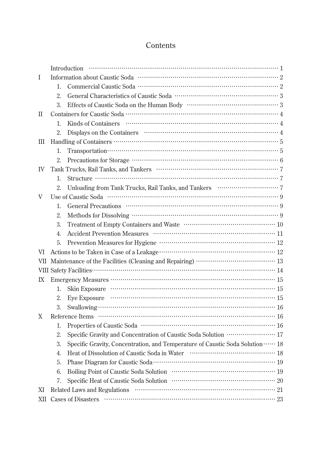### **Contents**

| I            |                           |                                                                                                                                                                         |  |  |  |  |  |
|--------------|---------------------------|-------------------------------------------------------------------------------------------------------------------------------------------------------------------------|--|--|--|--|--|
|              | 1.                        |                                                                                                                                                                         |  |  |  |  |  |
|              | 2.                        |                                                                                                                                                                         |  |  |  |  |  |
|              | 3.                        |                                                                                                                                                                         |  |  |  |  |  |
| $\mathbf{I}$ |                           |                                                                                                                                                                         |  |  |  |  |  |
|              | 1.                        |                                                                                                                                                                         |  |  |  |  |  |
|              | 2.                        |                                                                                                                                                                         |  |  |  |  |  |
| Ш            |                           |                                                                                                                                                                         |  |  |  |  |  |
|              | 1.                        | Transportation $\cdots$ $\cdots$ $\cdots$ $\cdots$ $\cdots$ $\cdots$ $\cdots$ $\cdots$ $\cdots$ $\cdots$ $\cdots$ $\cdots$ $\cdots$ $\cdots$ $\cdots$ $\cdots$ $\cdots$ |  |  |  |  |  |
|              | 2.                        | Precautions for Storage $\cdots$ $\cdots$ $\cdots$ $\cdots$ $\cdots$ $\cdots$ $\cdots$ $\cdots$ $\cdots$ $\cdots$ $\cdots$ $\cdots$ $\cdots$                            |  |  |  |  |  |
| IV           |                           |                                                                                                                                                                         |  |  |  |  |  |
|              | 1.                        |                                                                                                                                                                         |  |  |  |  |  |
|              | 2.                        | Unloading from Tank Trucks, Rail Tanks, and Tankers ••••••••••••••••••••••••••••• 7                                                                                     |  |  |  |  |  |
| V            |                           |                                                                                                                                                                         |  |  |  |  |  |
|              | 1.                        |                                                                                                                                                                         |  |  |  |  |  |
|              | 2.                        |                                                                                                                                                                         |  |  |  |  |  |
|              | 3.                        |                                                                                                                                                                         |  |  |  |  |  |
|              | 4.                        |                                                                                                                                                                         |  |  |  |  |  |
|              | 5.                        | Prevention Measures for Hygiene ……………………………………………………… 12                                                                                                                |  |  |  |  |  |
| VI.          |                           |                                                                                                                                                                         |  |  |  |  |  |
| VII.         |                           | Maintenance of the Facilities (Cleaning and Repairing) ………………………………… 13                                                                                                 |  |  |  |  |  |
|              |                           | VIII Safety Facilities………………………………………………………………………… 14                                                                                                                   |  |  |  |  |  |
| IX           |                           |                                                                                                                                                                         |  |  |  |  |  |
|              | 1.                        |                                                                                                                                                                         |  |  |  |  |  |
|              | 2.                        | Eye Exposure                                                                                                                                                            |  |  |  |  |  |
|              |                           |                                                                                                                                                                         |  |  |  |  |  |
| X            |                           |                                                                                                                                                                         |  |  |  |  |  |
|              | 1.                        |                                                                                                                                                                         |  |  |  |  |  |
|              | 2.                        | Specific Gravity and Concentration of Caustic Soda Solution ····················· 17                                                                                    |  |  |  |  |  |
|              | 3.                        | Specific Gravity, Concentration, and Temperature of Caustic Soda Solution  18                                                                                           |  |  |  |  |  |
|              | 4.                        |                                                                                                                                                                         |  |  |  |  |  |
|              | 5.                        |                                                                                                                                                                         |  |  |  |  |  |
|              | 6.                        |                                                                                                                                                                         |  |  |  |  |  |
|              | 7.                        |                                                                                                                                                                         |  |  |  |  |  |
| XI           |                           |                                                                                                                                                                         |  |  |  |  |  |
| XII          | <b>Cases of Disasters</b> |                                                                                                                                                                         |  |  |  |  |  |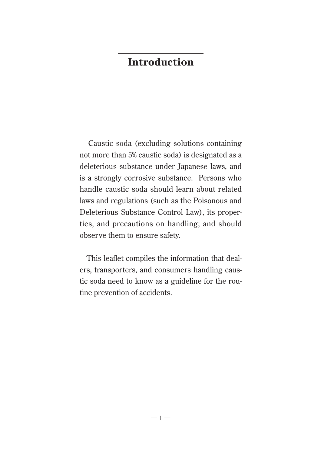## **Introduction**

Caustic soda (excluding solutions containing not more than 5% caustic soda) is designated as a deleterious substance under Japanese laws, and is a strongly corrosive substance. Persons who handle caustic soda should learn about related laws and regulations (such as the Poisonous and Deleterious Substance Control Law), its properties, and precautions on handling; and should observe them to ensure safety.

This leaflet compiles the information that dealers, transporters, and consumers handling caustic soda need to know as a guideline for the routine prevention of accidents.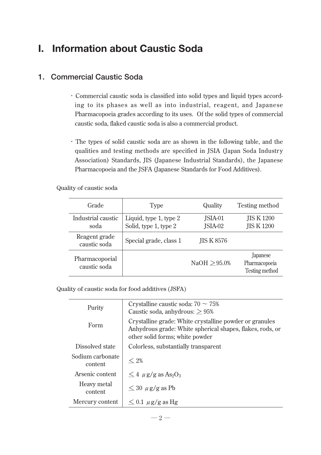## **I. Information about Caustic Soda**

#### **1. Commercial Caustic Soda**

- ・Commercial caustic soda is classified into solid types and liquid types according to its phases as well as into industrial, reagent, and Japanese Pharmacopoeia grades according to its uses. Of the solid types of commercial caustic soda, flaked caustic soda is also a commercial product.
- ・The types of solid caustic soda are as shown in the following table, and the qualities and testing methods are specified in JSIA (Japan Soda Industry Association) Standards, JIS (Japanese Industrial Standards), the Japanese Pharmacopoeia and the JSFA (Japanese Standards for Food Additives).

Quality of caustic soda

| Grade                          | <b>Type</b>                                     | Quality            | Testing method                              |  |
|--------------------------------|-------------------------------------------------|--------------------|---------------------------------------------|--|
| Industrial caustic<br>soda     | Liquid, type 1, type 2<br>Solid, type 1, type 2 | JSIA-01<br>JSIA-02 | <b>JIS K 1200</b><br><b>JIS K1200</b>       |  |
| Reagent grade<br>caustic soda  | Special grade, class 1                          | <b>JIS K 8576</b>  |                                             |  |
| Pharmacopoeial<br>caustic soda |                                                 | NaOH > 95.0%       | Japanese<br>Pharmacopoeia<br>Testing method |  |

Quality of caustic soda for food additives (JSFA)

| Purity                      | Crystalline caustic soda: $70 \sim 75\%$<br>Caustic soda, anhydrous: $\geq 95\%$                                                                        |  |  |  |
|-----------------------------|---------------------------------------------------------------------------------------------------------------------------------------------------------|--|--|--|
| Form                        | Crystalline grade: White crystalline powder or granules<br>Anhydrous grade: White spherical shapes, flakes, rods, or<br>other solid forms; white powder |  |  |  |
| Dissolved state             | Colorless, substantially transparent                                                                                                                    |  |  |  |
| Sodium carbonate<br>content | $< 2\%$                                                                                                                                                 |  |  |  |
| Arsenic content             | $\leq 4$ $\mu$ g/g as As <sub>2</sub> O <sub>3</sub>                                                                                                    |  |  |  |
| Heavy metal<br>content      | $\leq 30 \mu$ g/g as Pb                                                                                                                                 |  |  |  |
| Mercury content             | $\leq$ 0.1 $\mu$ g/g as Hg                                                                                                                              |  |  |  |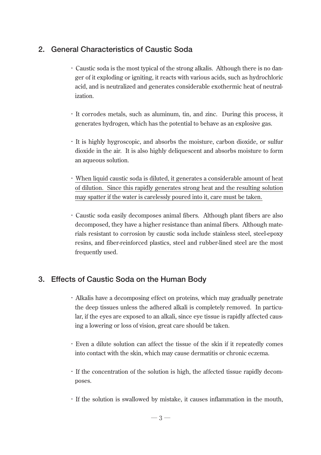#### **2. General Characteristics of Caustic Soda**

- ・Caustic soda is the most typical of the strong alkalis. Although there is no danger of it exploding or igniting, it reacts with various acids, such as hydrochloric acid, and is neutralized and generates considerable exothermic heat of neutralization.
- ・It corrodes metals, such as aluminum, tin, and zinc. During this process, it generates hydrogen, which has the potential to behave as an explosive gas.
- ・It is highly hygroscopic, and absorbs the moisture, carbon dioxide, or sulfur dioxide in the air. It is also highly deliquescent and absorbs moisture to form an aqueous solution.
- ・When liquid caustic soda is diluted, it generates a considerable amount of heat of dilution. Since this rapidly generates strong heat and the resulting solution may spatter if the water is carelessly poured into it, care must be taken.
- ・Caustic soda easily decomposes animal fibers. Although plant fibers are also decomposed, they have a higher resistance than animal fibers. Although materials resistant to corrosion by caustic soda include stainless steel, steel-epoxy resins, and fiber-reinforced plastics, steel and rubber-lined steel are the most frequently used.

#### **3. Effects of Caustic Soda on the Human Body**

- ・Alkalis have a decomposing effect on proteins, which may gradually penetrate the deep tissues unless the adhered alkali is completely removed. In particular, if the eyes are exposed to an alkali, since eye tissue is rapidly affected causing a lowering or loss of vision, great care should be taken.
- ・Even a dilute solution can affect the tissue of the skin if it repeatedly comes into contact with the skin, which may cause dermatitis or chronic eczema.
- ・If the concentration of the solution is high, the affected tissue rapidly decomposes.
- ・If the solution is swallowed by mistake, it causes inflammation in the mouth,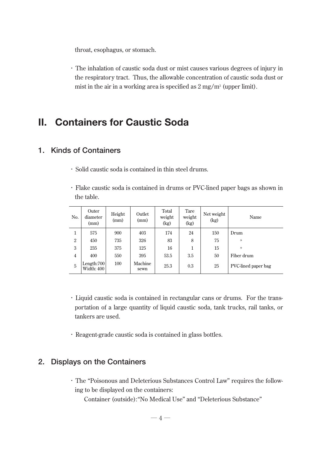throat, esophagus, or stomach.

・The inhalation of caustic soda dust or mist causes various degrees of injury in the respiratory tract. Thus, the allowable concentration of caustic soda dust or mist in the air in a working area is specified as  $2 \text{ mg/m}^3$  (upper limit).

## **II. Containers for Caustic Soda**

#### **1. Kinds of Containers**

- ・Solid caustic soda is contained in thin steel drums.
- ・Flake caustic soda is contained in drums or PVC-lined paper bags as shown in the table.

| No.            | Outer<br>diameter<br>(mm)   | Height<br>(mm) | Outlet<br>(mm)  | Total<br>weight<br>(kg) | Tare<br>weight<br>(kg) | Net weight<br>(kg) | Name                |
|----------------|-----------------------------|----------------|-----------------|-------------------------|------------------------|--------------------|---------------------|
| 1              | 575                         | 900            | 403             | 174                     | 24                     | 150                | Drum                |
| $\overline{2}$ | 450                         | 735            | 326             | 83                      | 8                      | 75                 | ,                   |
| 3              | 235                         | 375            | 125             | 16                      |                        | 15                 | ,                   |
| $\overline{4}$ | 400                         | 550            | 395             | 53.5                    | 3.5                    | 50                 | Fiber drum          |
| 5              | Length: $700$<br>Width: 400 | 100            | Machine<br>sewn | 25.3                    | 0.3                    | 25                 | PVC-lined paper bag |

- ・Liquid caustic soda is contained in rectangular cans or drums. For the transportation of a large quantity of liquid caustic soda, tank trucks, rail tanks, or tankers are used.
- ・Reagent-grade caustic soda is contained in glass bottles.

#### **2. Displays on the Containers**

- ・The "Poisonous and Deleterious Substances Control Law" requires the following to be displayed on the containers:
	- Container (outside):"No Medical Use" and "Deleterious Substance"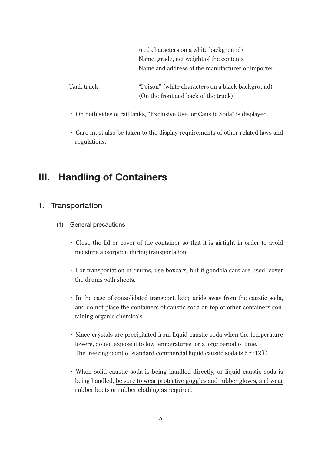(red characters on a white background) Name, grade, net weight of the contents Name and address of the manufacturer or importer

Tank truck: "Poison" (white characters on a black background) (On the front and back of the truck)

- ・On both sides of rail tanks, "Exclusive Use for Caustic Soda" is displayed.
- ・Care must also be taken to the display requirements of other related laws and regulations.

## **III. Handling of Containers**

#### **1. Transportation**

- (1) General precautions
	- ・Close the lid or cover of the container so that it is airtight in order to avoid moisture absorption during transportation.
	- ・For transportation in drums, use boxcars, but if gondola cars are used, cover the drums with sheets.
	- ・In the case of consolidated transport, keep acids away from the caustic soda, and do not place the containers of caustic soda on top of other containers containing organic chemicals.
	- ・Since crystals are precipitated from liquid caustic soda when the temperature lowers, do not expose it to low temperatures for a long period of time. The freezing point of standard commercial liquid caustic soda is  $5 \sim 12^{\circ}$ C
	- ・When solid caustic soda is being handled directly, or liquid caustic soda is being handled, be sure to wear protective goggles and rubber gloves, and wear rubber boots or rubber clothing as required.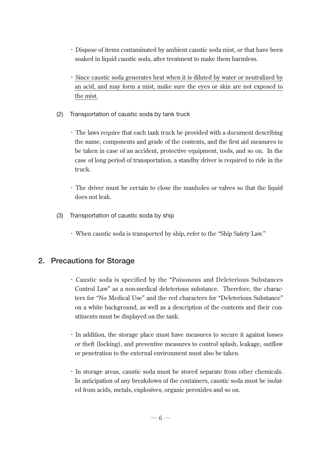- ・Dispose of items contaminated by ambient caustic soda mist, or that have been soaked in liquid caustic soda, after treatment to make them harmless.
- ・Since caustic soda generates heat when it is diluted by water or neutralized by an acid, and may form a mist, make sure the eyes or skin are not exposed to the mist.
- (2) Transportation of caustic soda by tank truck
	- ・The laws require that each tank truck be provided with a document describing the name, components and grade of the contents, and the first aid measures to be taken in case of an accident, protective equipment, tools, and so on. In the case of long period of transportation, a standby driver is required to ride in the truck.
	- ・The driver must be certain to close the manholes or valves so that the liquid does not leak.
- (3) Transportation of caustic soda by ship
	- ・When caustic soda is transported by ship, refer to the "Ship Safety Law."

#### **2. Precautions for Storage**

- ・Caustic soda is specified by the "Poisonous and Deleterious Substances Control Law" as a non-medical deleterious substance. Therefore, the characters for "No Medical Use" and the red characters for "Deleterious Substance" on a white background, as well as a description of the contents and their constituents must be displayed on the tank.
- ・In addition, the storage place must have measures to secure it against losses or theft (locking), and preventive measures to control splash, leakage, outflow or penetration to the external environment must also be taken.
- ・In storage areas, caustic soda must be stored separate from other chemicals. In anticipation of any breakdown of the containers, caustic soda must be isolated from acids, metals, explosives, organic peroxides and so on.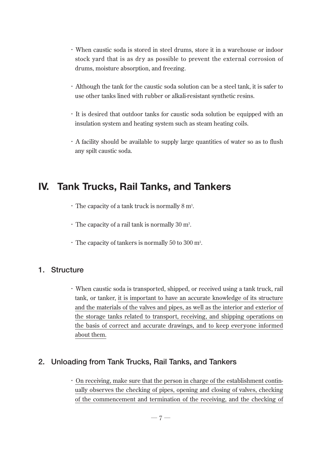- ・When caustic soda is stored in steel drums, store it in a warehouse or indoor stock yard that is as dry as possible to prevent the external corrosion of drums, moisture absorption, and freezing.
- ・Although the tank for the caustic soda solution can be a steel tank, it is safer to use other tanks lined with rubber or alkali-resistant synthetic resins.
- ・It is desired that outdoor tanks for caustic soda solution be equipped with an insulation system and heating system such as steam heating coils.
- ・A facility should be available to supply large quantities of water so as to flush any spilt caustic soda.

## **IV. Tank Trucks, Rail Tanks, and Tankers**

- $\cdot$  The capacity of a tank truck is normally 8 m<sup>3</sup>.
- $\cdot$  The capacity of a rail tank is normally 30 m<sup>3</sup>.
- $\cdot$  The capacity of tankers is normally 50 to 300 m<sup>3</sup>.

#### **1. Structure**

・When caustic soda is transported, shipped, or received using a tank truck, rail tank, or tanker, it is important to have an accurate knowledge of its structure and the materials of the valves and pipes, as well as the interior and exterior of the storage tanks related to transport, receiving, and shipping operations on the basis of correct and accurate drawings, and to keep everyone informed about them.

#### **2. Unloading from Tank Trucks, Rail Tanks, and Tankers**

・On receiving, make sure that the person in charge of the establishment continually observes the checking of pipes, opening and closing of valves, checking of the commencement and termination of the receiving, and the checking of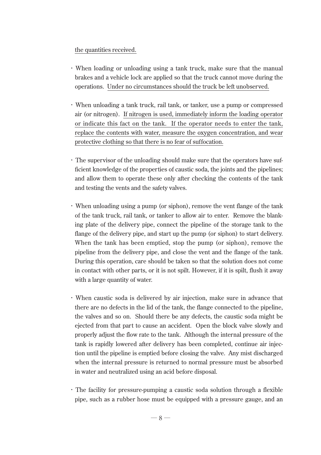#### the quantities received.

- ・When loading or unloading using a tank truck, make sure that the manual brakes and a vehicle lock are applied so that the truck cannot move during the operations. Under no circumstances should the truck be left unobserved.
- ・When unloading a tank truck, rail tank, or tanker, use a pump or compressed air (or nitrogen). If nitrogen is used, immediately inform the loading operator or indicate this fact on the tank. If the operator needs to enter the tank, replace the contents with water, measure the oxygen concentration, and wear protective clothing so that there is no fear of suffocation.
- ・The supervisor of the unloading should make sure that the operators have sufficient knowledge of the properties of caustic soda, the joints and the pipelines; and allow them to operate these only after checking the contents of the tank and testing the vents and the safety valves.
- ・When unloading using a pump (or siphon), remove the vent flange of the tank of the tank truck, rail tank, or tanker to allow air to enter. Remove the blanking plate of the delivery pipe, connect the pipeline of the storage tank to the flange of the delivery pipe, and start up the pump (or siphon) to start delivery. When the tank has been emptied, stop the pump (or siphon), remove the pipeline from the delivery pipe, and close the vent and the flange of the tank. During this operation, care should be taken so that the solution does not come in contact with other parts, or it is not spilt. However, if it is spilt, flush it away with a large quantity of water.
- ・When caustic soda is delivered by air injection, make sure in advance that there are no defects in the lid of the tank, the flange connected to the pipeline, the valves and so on. Should there be any defects, the caustic soda might be ejected from that part to cause an accident. Open the block valve slowly and properly adjust the flow rate to the tank. Although the internal pressure of the tank is rapidly lowered after delivery has been completed, continue air injection until the pipeline is emptied before closing the valve. Any mist discharged when the internal pressure is returned to normal pressure must be absorbed in water and neutralized using an acid before disposal.
- ・The facility for pressure-pumping a caustic soda solution through a flexible pipe, such as a rubber hose must be equipped with a pressure gauge, and an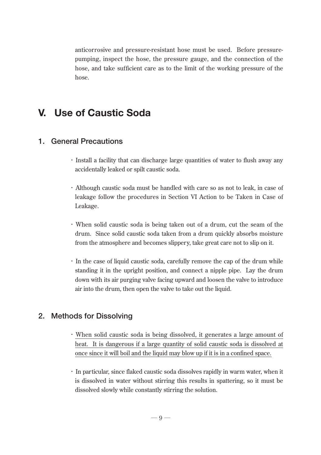anticorrosive and pressure-resistant hose must be used. Before pressurepumping, inspect the hose, the pressure gauge, and the connection of the hose, and take sufficient care as to the limit of the working pressure of the hose.

## **V. Use of Caustic Soda**

#### **1. General Precautions**

- ・Install a facility that can discharge large quantities of water to flush away any accidentally leaked or spilt caustic soda.
- ・Although caustic soda must be handled with care so as not to leak, in case of leakage follow the procedures in Section VI Action to be Taken in Case of Leakage.
- ・When solid caustic soda is being taken out of a drum, cut the seam of the drum. Since solid caustic soda taken from a drum quickly absorbs moisture from the atmosphere and becomes slippery, take great care not to slip on it.
- ・In the case of liquid caustic soda, carefully remove the cap of the drum while standing it in the upright position, and connect a nipple pipe. Lay the drum down with its air purging valve facing upward and loosen the valve to introduce air into the drum, then open the valve to take out the liquid.

#### **2. Methods for Dissolving**

- ・When solid caustic soda is being dissolved, it generates a large amount of heat. It is dangerous if a large quantity of solid caustic soda is dissolved at once since it will boil and the liquid may blow up if it is in a confined space.
- ・In particular, since flaked caustic soda dissolves rapidly in warm water, when it is dissolved in water without stirring this results in spattering, so it must be dissolved slowly while constantly stirring the solution.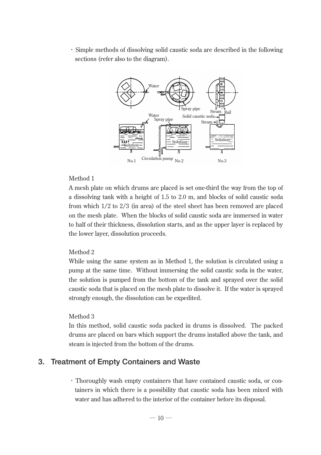・Simple methods of dissolving solid caustic soda are described in the following sections (refer also to the diagram).



#### Method 1

A mesh plate on which drums are placed is set one-third the way from the top of a dissolving tank with a height of 1.5 to 2.0 m, and blocks of solid caustic soda from which 1/2 to 2/3 (in area) of the steel sheet has been removed are placed on the mesh plate. When the blocks of solid caustic soda are immersed in water to half of their thickness, dissolution starts, and as the upper layer is replaced by the lower layer, dissolution proceeds.

#### Method 2

While using the same system as in Method 1, the solution is circulated using a pump at the same time. Without immersing the solid caustic soda in the water, the solution is pumped from the bottom of the tank and sprayed over the solid caustic soda that is placed on the mesh plate to dissolve it. If the water is sprayed strongly enough, the dissolution can be expedited.

#### Method 3

In this method, solid caustic soda packed in drums is dissolved. The packed drums are placed on bars which support the drums installed above the tank, and steam is injected from the bottom of the drums.

#### **3. Treatment of Empty Containers and Waste**

・Thoroughly wash empty containers that have contained caustic soda, or containers in which there is a possibility that caustic soda has been mixed with water and has adhered to the interior of the container before its disposal.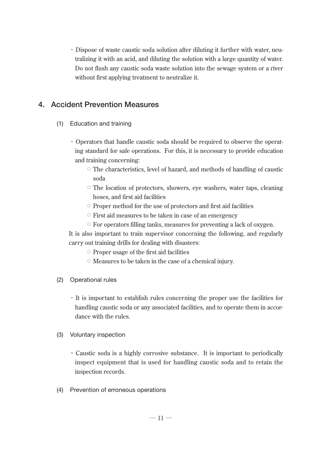・Dispose of waste caustic soda solution after diluting it further with water, neutralizing it with an acid, and diluting the solution with a large quantity of water. Do not flush any caustic soda waste solution into the sewage system or a river without first applying treatment to neutralize it.

#### **4. Accident Prevention Measures**

- (1) Education and training
	- ・Operators that handle caustic soda should be required to observe the operating standard for safe operations. For this, it is necessary to provide education and training concerning:
		- The characteristics, level of hazard, and methods of handling of caustic soda
		- The location of protectors, showers, eye washers, water taps, cleaning hoses, and first aid facilities
		- Proper method for the use of protectors and first aid facilities
		- First aid measures to be taken in case of an emergency
		- For operators filling tanks, measures for preventing a lack of oxygen.

It is also important to train supervisor concerning the following, and regularly carry out training drills for dealing with disasters:

- Proper usage of the first aid facilities
- Measures to be taken in the case of a chemical injury.
- (2) Operational rules
	- ・It is important to establish rules concerning the proper use the facilities for handling caustic soda or any associated facilities, and to operate them in accordance with the rules.
- (3) Voluntary inspection
	- ・Caustic soda is a highly corrosive substance. It is important to periodically inspect equipment that is used for handling caustic soda and to retain the inspection records.
- (4) Prevention of erroneous operations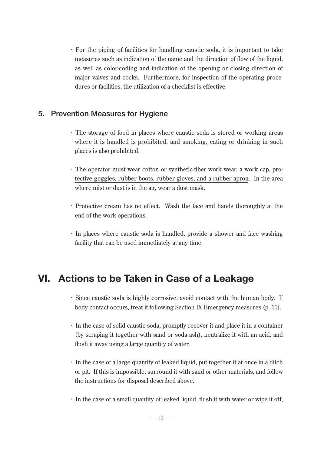・For the piping of facilities for handling caustic soda, it is important to take measures such as indication of the name and the direction of flow of the liquid, as well as color-coding and indication of the opening or closing direction of major valves and cocks. Furthermore, for inspection of the operating procedures or facilities, the utilization of a checklist is effective.

#### **5. Prevention Measures for Hygiene**

- ・The storage of food in places where caustic soda is stored or working areas where it is handled is prohibited, and smoking, eating or drinking in such places is also prohibited.
- ・The operator must wear cotton or synthetic-fiber work wear, a work cap, protective goggles, rubber boots, rubber gloves, and a rubber apron. In the area where mist or dust is in the air, wear a dust mask.
- ・Protective cream has no effect. Wash the face and hands thoroughly at the end of the work operations.
- ・In places where caustic soda is handled, provide a shower and face washing facility that can be used immediately at any time.

## **VI. Actions to be Taken in Case of a Leakage**

- ・Since caustic soda is highly corrosive, avoid contact with the human body. If body contact occurs, treat it following Section IX Emergency measures (p. 15).
- ・In the case of solid caustic soda, promptly recover it and place it in a container (by scraping it together with sand or soda ash), neutralize it with an acid, and flush it away using a large quantity of water.
- ・In the case of a large quantity of leaked liquid, put together it at once in a ditch or pit. If this is impossible, surround it with sand or other materials, and follow the instructions for disposal described above.
- ・In the case of a small quantity of leaked liquid, flush it with water or wipe it off,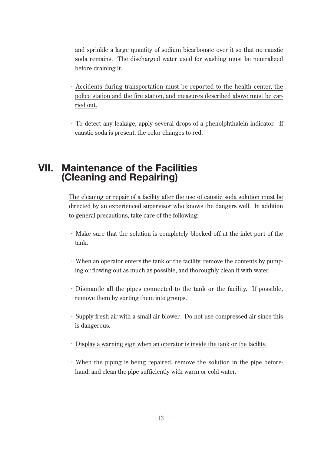and sprinkle a large quantity of sodium bicarbonate over it so that no caustic soda remains. The discharged water used for washing must be neutralized before draining it.

- ・Accidents during transportation must be reported to the health center, the police station and the fire station, and measures described above must be carried out.
- ・To detect any leakage, apply several drops of a phenolphthalein indicator. If caustic soda is present, the color changes to red.

## **VII. Maintenance of the Facilities (Cleaning and Repairing)**

The cleaning or repair of a facility after the use of caustic soda solution must be directed by an experienced supervisor who knows the dangers well. In addition to general precautions, take care of the following:

- ・Make sure that the solution is completely blocked off at the inlet port of the tank.
- ・When an operator enters the tank or the facility, remove the contents by pumping or flowing out as much as possible, and thoroughly clean it with water.
- ・Dismantle all the pipes connected to the tank or the facility. If possible, remove them by sorting them into groups.
- ・Supply fresh air with a small air blower. Do not use compressed air since this is dangerous.
- ・Display a warning sign when an operator is inside the tank or the facility.
- ・When the piping is being repaired, remove the solution in the pipe beforehand, and clean the pipe sufficiently with warm or cold water.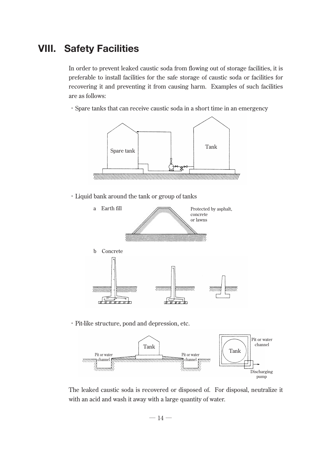## **VIII. Safety Facilities**

In order to prevent leaked caustic soda from flowing out of storage facilities, it is preferable to install facilities for the safe storage of caustic soda or facilities for recovering it and preventing it from causing harm. Examples of such facilities are as follows:

・Spare tanks that can receive caustic soda in a short time in an emergency



・Liquid bank around the tank or group of tanks



・Pit-like structure, pond and depression, etc.



The leaked caustic soda is recovered or disposed of. For disposal, neutralize it with an acid and wash it away with a large quantity of water.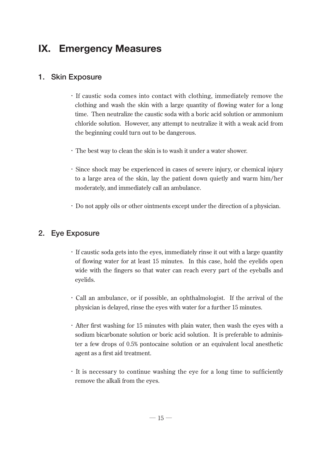## **IX. Emergency Measures**

#### **1. Skin Exposure**

- ・If caustic soda comes into contact with clothing, immediately remove the clothing and wash the skin with a large quantity of flowing water for a long time. Then neutralize the caustic soda with a boric acid solution or ammonium chloride solution. However, any attempt to neutralize it with a weak acid from the beginning could turn out to be dangerous.
- ・The best way to clean the skin is to wash it under a water shower.
- ・Since shock may be experienced in cases of severe injury, or chemical injury to a large area of the skin, lay the patient down quietly and warm him/her moderately, and immediately call an ambulance.
- ・Do not apply oils or other ointments except under the direction of a physician.

#### **2. Eye Exposure**

- ・If caustic soda gets into the eyes, immediately rinse it out with a large quantity of flowing water for at least 15 minutes. In this case, hold the eyelids open wide with the fingers so that water can reach every part of the eyeballs and eyelids.
- ・Call an ambulance, or if possible, an ophthalmologist. If the arrival of the physician is delayed, rinse the eyes with water for a further 15 minutes.
- ・After first washing for 15 minutes with plain water, then wash the eyes with a sodium bicarbonate solution or boric acid solution. It is preferable to administer a few drops of 0.5% pontocaine solution or an equivalent local anesthetic agent as a first aid treatment.
- ・It is necessary to continue washing the eye for a long time to sufficiently remove the alkali from the eyes.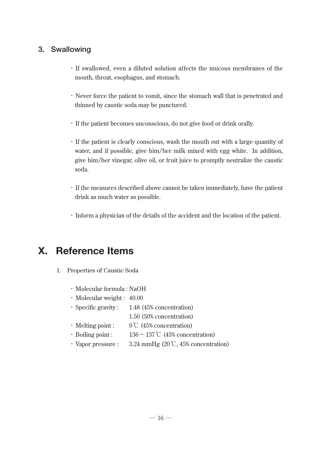#### **3. Swallowing**

- ・If swallowed, even a diluted solution affects the mucous membranes of the mouth, throat, esophagus, and stomach.
- ・Never force the patient to vomit, since the stomach wall that is penetrated and thinned by caustic soda may be punctured.
- ・If the patient becomes unconscious, do not give food or drink orally.
- ・If the patient is clearly conscious, wash the mouth out with a large quantity of water, and if possible, give him/her milk mixed with egg white. In addition, give him/her vinegar, olive oil, or fruit juice to promptly neutralize the caustic soda.
- ・If the measures described above cannot be taken immediately, have the patient drink as much water as possible.
- ・Inform a physician of the details of the accident and the location of the patient.

## **X. Reference Items**

- 1. Properties of Caustic Soda
	- ・Molecular formula : NaOH
	- ・Molecular weight : 40.00
	- ・Specific gravity : 1.48 (45% concentration)
		- 1.50 (50% concentration)
	- ・Melting point : 9℃ (45% concentration)
	- $\cdot$  Boiling point : 136  $\sim$  137°C (45% concentration)
	- Vapor pressure :  $3.24 \text{ mmHg}$  (20 °C, 45% concentration)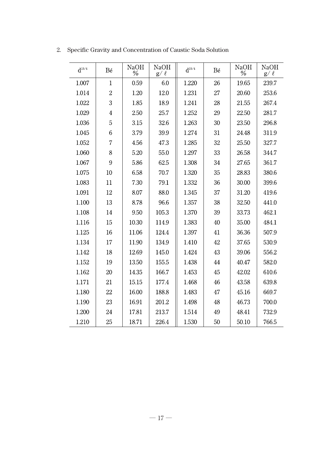| $\mathbf{d}^{15/4}$ | Bé             | <b>NaOH</b><br>$\%$ | <b>NaOH</b><br>$g/ \ell$ | $\mathbf{d}^{\scriptscriptstyle{15/4}}$ | Bé | <b>NaOH</b><br>$\%$ | <b>NaOH</b><br>g/ $\ell$ |
|---------------------|----------------|---------------------|--------------------------|-----------------------------------------|----|---------------------|--------------------------|
| 1.007               | $\mathbf{1}$   | 0.59                | 6.0                      | 1.220                                   | 26 | 19.65               | 239.7                    |
| 1.014               | $\overline{2}$ | 1.20                | 12.0                     | 1.231                                   | 27 | 20.60               | 253.6                    |
| 1.022               | 3              | 1.85                | 18.9                     | 1.241                                   | 28 | 21.55               | 267.4                    |
| 1.029               | $\overline{4}$ | 2.50                | 25.7                     | 1.252                                   | 29 | 22.50               | 281.7                    |
| 1.036               | 5              | 3.15                | 32.6                     | 1.263                                   | 30 | 23.50               | 296.8                    |
| 1.045               | 6              | 3.79                | 39.9                     | 1.274                                   | 31 | 24.48               | 311.9                    |
| 1.052               | $\overline{7}$ | 4.56                | 47.3                     | 1.285                                   | 32 | 25.50               | 327.7                    |
| 1.060               | 8              | 5.20                | 55.0                     | 1.297                                   | 33 | 26.58               | 344.7                    |
| 1.067               | 9              | 5.86                | 62.5                     | 1.308                                   | 34 | 27.65               | 361.7                    |
| 1.075               | 10             | 6.58                | 70.7                     | 1.320                                   | 35 | 28.83               | 380.6                    |
| 1.083               | 11             | 7.30                | 79.1                     | 1.332                                   | 36 | 30.00               | 399.6                    |
| 1.091               | 12             | 8.07                | 88.0                     | 1.345                                   | 37 | 31.20               | 419.6                    |
| 1.100               | 13             | 8.78                | 96.6                     | 1.357                                   | 38 | 32.50               | 441.0                    |
| 1.108               | 14             | 9.50                | 105.3                    | 1.370                                   | 39 | 33.73               | 462.1                    |
| 1.116               | 15             | 10.30               | 114.9                    | 1.383                                   | 40 | 35.00               | 484.1                    |
| 1.125               | 16             | 11.06               | 124.4                    | 1.397                                   | 41 | 36.36               | 507.9                    |
| 1.134               | 17             | 11.90               | 134.9                    | 1.410                                   | 42 | 37.65               | 530.9                    |
| 1.142               | 18             | 12.69               | 145.0                    | 1.424                                   | 43 | 39.06               | 556.2                    |
| 1.152               | 19             | 13.50               | 155.5                    | 1.438                                   | 44 | 40.47               | 582.0                    |
| 1.162               | 20             | 14.35               | 166.7                    | 1.453                                   | 45 | 42.02               | 610.6                    |
| 1.171               | 21             | 15.15               | 177.4                    | 1.468                                   | 46 | 43.58               | 639.8                    |
| 1.180               | 22             | 16.00               | 188.8                    | 1.483                                   | 47 | 45.16               | 669.7                    |
| 1.190               | 23             | 16.91               | 201.2                    | 1.498                                   | 48 | 46.73               | 700.0                    |
| 1.200               | 24             | 17.81               | 213.7                    | 1.514                                   | 49 | 48.41               | 732.9                    |
| 1.210               | 25             | 18.71               | 226.4                    | 1.530                                   | 50 | 50.10               | 766.5                    |

2. Specific Gravity and Concentration of Caustic Soda Solution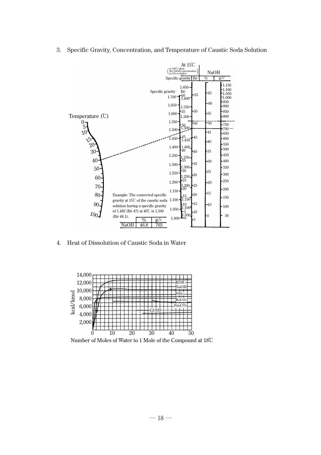3. Specific Gravity, Concentration, and Temperature of Caustic Soda Solution



4. Heat of Dissolution of Caustic Soda in Water



Number of Moles of Water to 1 Mole of the Compound at 18℃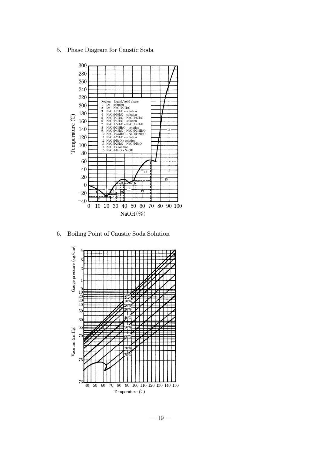5. Phase Diagram for Caustic Soda



6. Boiling Point of Caustic Soda Solution

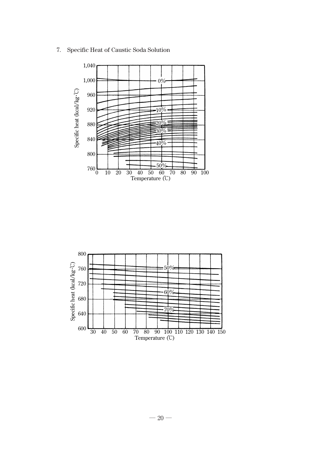7. Specific Heat of Caustic Soda Solution



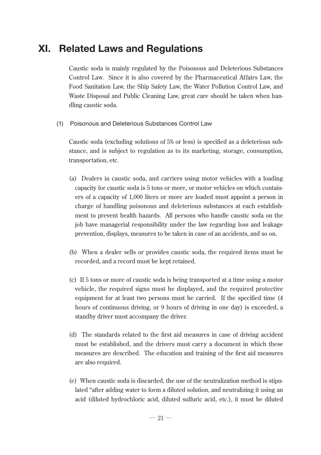## **XI. Related Laws and Regulations**

Caustic soda is mainly regulated by the Poisonous and Deleterious Substances Control Law. Since it is also covered by the Pharmaceutical Affairs Law, the Food Sanitation Law, the Ship Safety Law, the Water Pollution Control Law, and Waste Disposal and Public Cleaning Law, great care should be taken when handling caustic soda.

(1) Poisonous and Deleterious Substances Control Law

Caustic soda (excluding solutions of 5% or less) is specified as a deleterious substance, and is subject to regulation as to its marketing, storage, consumption, transportation, etc.

- (a) Dealers in caustic soda, and carriers using motor vehicles with a loading capacity for caustic soda is 5 tons or more, or motor vehicles on which containers of a capacity of 1,000 liters or more are loaded must appoint a person in charge of handling poisonous and deleterious substances at each establishment to prevent health hazards. All persons who handle caustic soda on the job have managerial responsibility under the law regarding loss and leakage prevention, displays, measures to be taken in case of an accidents, and so on.
- (b) When a dealer sells or provides caustic soda, the required items must be recorded, and a record must be kept retained.
- (c) If 5 tons or more of caustic soda is being transported at a time using a motor vehicle, the required signs must be displayed, and the required protective equipment for at least two persons must be carried. If the specified time (4 hours of continuous driving, or 9 hours of driving in one day) is exceeded, a standby driver must accompany the driver.
- (d) The standards related to the first aid measures in case of driving accident must be established, and the drivers must carry a document in which these measures are described. The education and training of the first aid measures are also required.
- (e) When caustic soda is discarded, the use of the neutralization method is stipulated "after adding water to form a diluted solution, and neutralizing it using an acid (diluted hydrochloric acid, diluted sulfuric acid, etc.), it must be diluted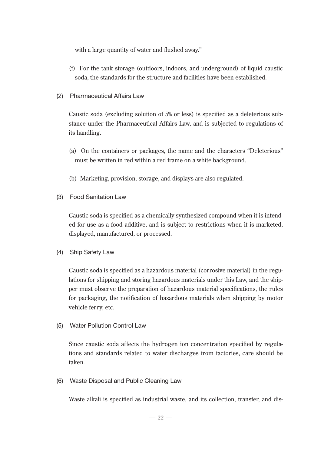with a large quantity of water and flushed away."

- (f) For the tank storage (outdoors, indoors, and underground) of liquid caustic soda, the standards for the structure and facilities have been established.
- (2) Pharmaceutical Affairs Law

Caustic soda (excluding solution of 5% or less) is specified as a deleterious substance under the Pharmaceutical Affairs Law, and is subjected to regulations of its handling.

- (a) On the containers or packages, the name and the characters "Deleterious" must be written in red within a red frame on a white background.
- (b) Marketing, provision, storage, and displays are also regulated.
- (3) Food Sanitation Law

Caustic soda is specified as a chemically-synthesized compound when it is intended for use as a food additive, and is subject to restrictions when it is marketed, displayed, manufactured, or processed.

(4) Ship Safety Law

Caustic soda is specified as a hazardous material (corrosive material) in the regulations for shipping and storing hazardous materials under this Law, and the shipper must observe the preparation of hazardous material specifications, the rules for packaging, the notification of hazardous materials when shipping by motor vehicle ferry, etc.

(5) Water Pollution Control Law

Since caustic soda affects the hydrogen ion concentration specified by regulations and standards related to water discharges from factories, care should be taken.

(6) Waste Disposal and Public Cleaning Law

Waste alkali is specified as industrial waste, and its collection, transfer, and dis-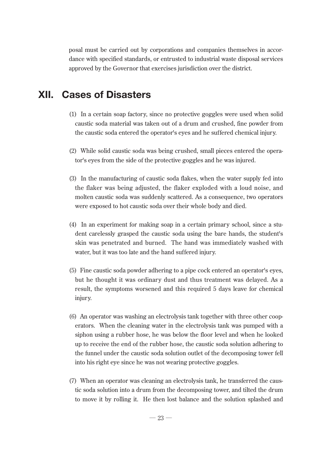posal must be carried out by corporations and companies themselves in accordance with specified standards, or entrusted to industrial waste disposal services approved by the Governor that exercises jurisdiction over the district.

## **XII. Cases of Disasters**

- (1) In a certain soap factory, since no protective goggles were used when solid caustic soda material was taken out of a drum and crushed, fine powder from the caustic soda entered the operator's eyes and he suffered chemical injury.
- (2) While solid caustic soda was being crushed, small pieces entered the operator's eyes from the side of the protective goggles and he was injured.
- (3) In the manufacturing of caustic soda flakes, when the water supply fed into the flaker was being adjusted, the flaker exploded with a loud noise, and molten caustic soda was suddenly scattered. As a consequence, two operators were exposed to hot caustic soda over their whole body and died.
- (4) In an experiment for making soap in a certain primary school, since a student carelessly grasped the caustic soda using the bare hands, the student's skin was penetrated and burned. The hand was immediately washed with water, but it was too late and the hand suffered injury.
- (5) Fine caustic soda powder adhering to a pipe cock entered an operator's eyes, but he thought it was ordinary dust and thus treatment was delayed. As a result, the symptoms worsened and this required 5 days leave for chemical injury.
- (6) An operator was washing an electrolysis tank together with three other cooperators. When the cleaning water in the electrolysis tank was pumped with a siphon using a rubber hose, he was below the floor level and when he looked up to receive the end of the rubber hose, the caustic soda solution adhering to the funnel under the caustic soda solution outlet of the decomposing tower fell into his right eye since he was not wearing protective goggles.
- (7) When an operator was cleaning an electrolysis tank, he transferred the caustic soda solution into a drum from the decomposing tower, and tilted the drum to move it by rolling it. He then lost balance and the solution splashed and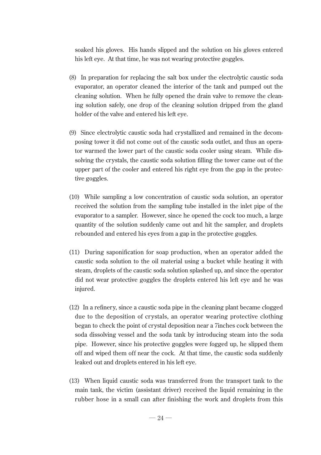soaked his gloves. His hands slipped and the solution on his gloves entered his left eye. At that time, he was not wearing protective goggles.

- (8) In preparation for replacing the salt box under the electrolytic caustic soda evaporator, an operator cleaned the interior of the tank and pumped out the cleaning solution. When he fully opened the drain valve to remove the cleaning solution safely, one drop of the cleaning solution dripped from the gland holder of the valve and entered his left eye.
- (9) Since electrolytic caustic soda had crystallized and remained in the decomposing tower it did not come out of the caustic soda outlet, and thus an operator warmed the lower part of the caustic soda cooler using steam. While dissolving the crystals, the caustic soda solution filling the tower came out of the upper part of the cooler and entered his right eye from the gap in the protective goggles.
- (10) While sampling a low concentration of caustic soda solution, an operator received the solution from the sampling tube installed in the inlet pipe of the evaporator to a sampler. However, since he opened the cock too much, a large quantity of the solution suddenly came out and hit the sampler, and droplets rebounded and entered his eyes from a gap in the protective goggles.
- (11) During saponification for soap production, when an operator added the caustic soda solution to the oil material using a bucket while heating it with steam, droplets of the caustic soda solution splashed up, and since the operator did not wear protective goggles the droplets entered his left eye and he was injured.
- (12) In a refinery, since a caustic soda pipe in the cleaning plant became clogged due to the deposition of crystals, an operator wearing protective clothing began to check the point of crystal deposition near a 7inches cock between the soda dissolving vessel and the soda tank by introducing steam into the soda pipe. However, since his protective goggles were fogged up, he slipped them off and wiped them off near the cock. At that time, the caustic soda suddenly leaked out and droplets entered in his left eye.
- (13) When liquid caustic soda was transferred from the transport tank to the main tank, the victim (assistant driver) received the liquid remaining in the rubber hose in a small can after finishing the work and droplets from this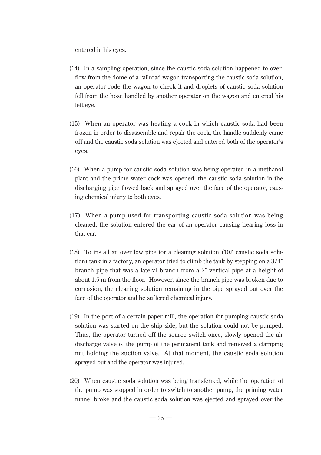entered in his eyes.

- (14) In a sampling operation, since the caustic soda solution happened to overflow from the dome of a railroad wagon transporting the caustic soda solution, an operator rode the wagon to check it and droplets of caustic soda solution fell from the hose handled by another operator on the wagon and entered his left eye.
- (15) When an operator was heating a cock in which caustic soda had been frozen in order to disassemble and repair the cock, the handle suddenly came off and the caustic soda solution was ejected and entered both of the operator's eyes.
- (16) When a pump for caustic soda solution was being operated in a methanol plant and the prime water cock was opened, the caustic soda solution in the discharging pipe flowed back and sprayed over the face of the operator, causing chemical injury to both eyes.
- (17) When a pump used for transporting caustic soda solution was being cleaned, the solution entered the ear of an operator causing hearing loss in that ear.
- (18) To install an overflow pipe for a cleaning solution (10% caustic soda solution) tank in a factory, an operator tried to climb the tank by stepping on a 3/4" branch pipe that was a lateral branch from a 2" vertical pipe at a height of about 1.5 m from the floor. However, since the branch pipe was broken due to corrosion, the cleaning solution remaining in the pipe sprayed out over the face of the operator and he suffered chemical injury.
- (19) In the port of a certain paper mill, the operation for pumping caustic soda solution was started on the ship side, but the solution could not be pumped. Thus, the operator turned off the source switch once, slowly opened the air discharge valve of the pump of the permanent tank and removed a clamping nut holding the suction valve. At that moment, the caustic soda solution sprayed out and the operator was injured.
- (20) When caustic soda solution was being transferred, while the operation of the pump was stopped in order to switch to another pump, the priming water funnel broke and the caustic soda solution was ejected and sprayed over the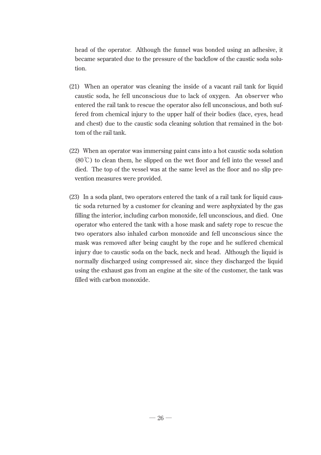head of the operator. Although the funnel was bonded using an adhesive, it became separated due to the pressure of the backflow of the caustic soda solution.

- (21) When an operator was cleaning the inside of a vacant rail tank for liquid caustic soda, he fell unconscious due to lack of oxygen. An observer who entered the rail tank to rescue the operator also fell unconscious, and both suffered from chemical injury to the upper half of their bodies (face, eyes, head and chest) due to the caustic soda cleaning solution that remained in the bottom of the rail tank.
- (22) When an operator was immersing paint cans into a hot caustic soda solution (80℃) to clean them, he slipped on the wet floor and fell into the vessel and died. The top of the vessel was at the same level as the floor and no slip prevention measures were provided.
- (23) In a soda plant, two operators entered the tank of a rail tank for liquid caustic soda returned by a customer for cleaning and were asphyxiated by the gas filling the interior, including carbon monoxide, fell unconscious, and died. One operator who entered the tank with a hose mask and safety rope to rescue the two operators also inhaled carbon monoxide and fell unconscious since the mask was removed after being caught by the rope and he suffered chemical injury due to caustic soda on the back, neck and head. Although the liquid is normally discharged using compressed air, since they discharged the liquid using the exhaust gas from an engine at the site of the customer, the tank was filled with carbon monoxide.